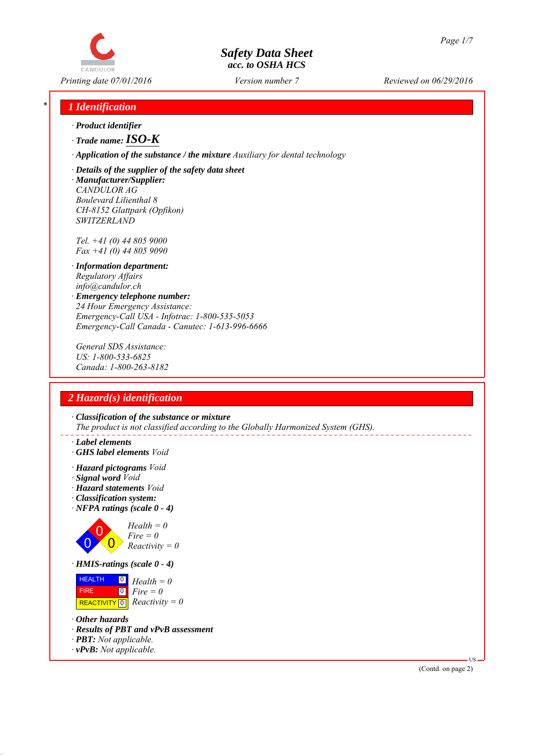# CANDULOR

# *Safety Data Sheet acc. to OSHA HCS*

*Printing date 07/01/2016 Reviewed on 06/29/2016 Version number 7*

#### *\* 1 Identification*

- *∙ Product identifier*
- *∙ Trade name:ISO-K*
- *∙ Application of the substance / the mixture Auxiliary for dental technology*
- *∙ Details of the supplier of the safety data sheet*
- *∙ Manufacturer/Supplier: CANDULOR AG Boulevard Lilienthal 8 CH-8152 Glattpark (Opfikon) SWITZERLAND*

*Tel. +41 (0) 44 805 9000 Fax +41 (0) 44 805 9090*

- *∙ Information department: Regulatory Affairs info@candulor.ch*
- *∙ Emergency telephone number: 24 Hour Emergency Assistance: Emergency-Call USA - Infotrac: 1-800-535-5053 Emergency-Call Canada - Canutec: 1-613-996-6666*

*General SDS Assistance: US: 1-800-533-6825 Canada: 1-800-263-8182*

#### *2 Hazard(s) identification*

*∙ Classification of the substance or mixture The product is not classified according to the Globally Harmonized System (GHS).*

- *∙ Label elements*
- *∙ GHS label elements Void*
- *∙ Hazard pictograms Void*
- *∙ Signal word Void*
- *∙ Hazard statements Void*
- *∙ Classification system:*
- *∙ NFPA ratings (scale 0 4)*



| <b>HEALTH</b> | $\Box$ Health = 0                                   |
|---------------|-----------------------------------------------------|
| FIRE.         | $\blacksquare$ 0 $\blacksquare$ Fire = 0            |
|               | <b>REACTIVITY</b> $\boxed{0}$ <i>Reactivity</i> = 0 |

- *∙ Other hazards*
- *∙ Results of PBT and vPvB assessment*
- *∙ PBT: Not applicable.*
- *∙ vPvB: Not applicable.*

(Contd. on page 2)

US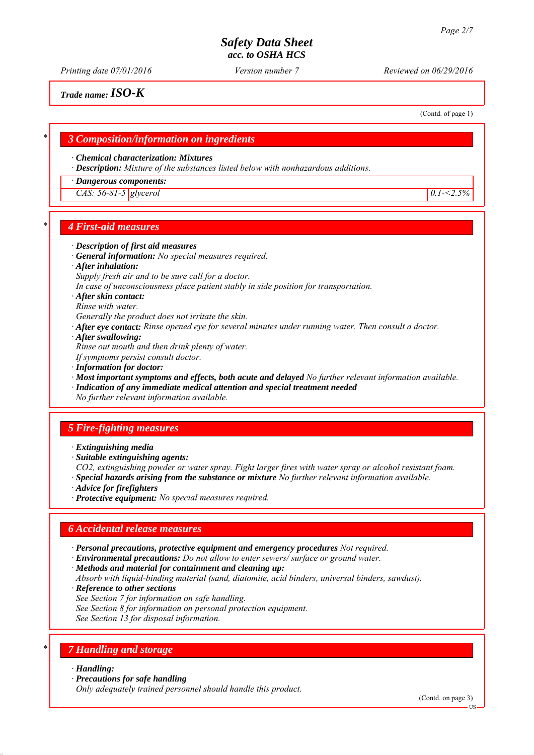*Printing date 07/01/2016 Reviewed on 06/29/2016 Version number 7*

*Trade name:ISO-K*

(Contd. of page 1)

#### *\* 3 Composition/information on ingredients*

#### *∙ Chemical characterization: Mixtures*

*∙ Description: Mixture of the substances listed below with nonhazardous additions.*

#### *∙ Dangerous components:*

*CAS: 56-81-5 glycerol 0.1-<2.5%*

#### *\* 4 First-aid measures*

#### *∙ Description of first aid measures*

- *∙ General information: No special measures required.*
- *∙ After inhalation:*
- *Supply fresh air and to be sure call for a doctor.*
- *In case of unconsciousness place patient stably in side position for transportation.*
- *∙ After skin contact:*
- *Rinse with water.*
- *Generally the product does not irritate the skin.*
- *∙ After eye contact: Rinse opened eye for several minutes under running water. Then consult a doctor.*
- *∙ After swallowing:*

*Rinse out mouth and then drink plenty of water.*

- *If symptoms persist consult doctor.*
- *∙ Information for doctor:*
- *∙ Most important symptoms and effects, both acute and delayed No further relevant information available.*
- *∙ Indication of any immediate medical attention and special treatment needed*

*No further relevant information available.*

#### *5 Fire-fighting measures*

- *∙ Extinguishing media*
- *∙ Suitable extinguishing agents:*
- *CO2, extinguishing powder or water spray. Fight larger fires with water spray or alcohol resistant foam.*
- *∙ Special hazards arising from the substance or mixture No further relevant information available.*
- *∙ Advice for firefighters*
- *∙ Protective equipment: No special measures required.*

#### *6 Accidental release measures*

- *∙ Personal precautions, protective equipment and emergency procedures Not required.*
- *∙ Environmental precautions: Do not allow to enter sewers/ surface or ground water.*
- *∙ Methods and material for containment and cleaning up:*
- *Absorb with liquid-binding material (sand, diatomite, acid binders, universal binders, sawdust).*
- *∙ Reference to other sections*
- *See Section 7 for information on safe handling.*
- *See Section 8 for information on personal protection equipment.*

*See Section 13 for disposal information.*

#### *\* 7 Handling and storage*

- *∙ Handling:*
- *∙ Precautions for safe handling*

*Only adequately trained personnel should handle this product.*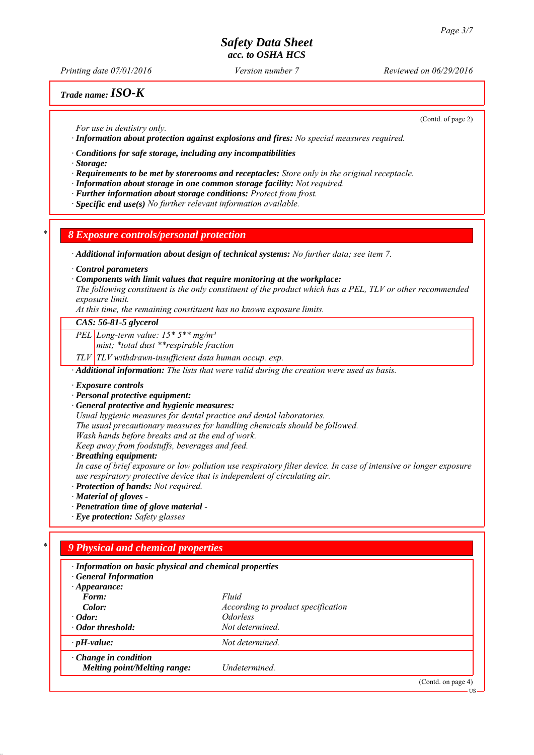*Printing date 07/01/2016 Reviewed on 06/29/2016 Version number 7*

```
Trade name:ISO-K
```
(Contd. of page 2)

US

*For use in dentistry only.*

*∙ Information about protection against explosions and fires: No special measures required.*

*∙ Conditions for safe storage, including any incompatibilities*

*∙ Storage:*

- *∙ Requirements to be met by storerooms and receptacles: Store only in the original receptacle.*
- *∙ Information about storage in one common storage facility: Not required.*
- *∙ Further information about storage conditions: Protect from frost.*
- *∙ Specific end use(s) No further relevant information available.*

*\* 8 Exposure controls/personal protection*

*∙ Additional information about design of technical systems: No further data; see item 7.*

*∙ Control parameters*

*∙ Components with limit values that require monitoring at the workplace:*

*The following constituent is the only constituent of the product which has a PEL, TLV or other recommended exposure limit.*

*At this time, the remaining constituent has no known exposure limits.*

#### *CAS: 56-81-5 glycerol*

*PEL Long-term value: 15\* 5\*\* mg/m³*

*mist; \*total dust \*\*respirable fraction*

*TLV TLV withdrawn-insufficient data human occup. exp.*

*∙ Additional information: The lists that were valid during the creation were used as basis.*

#### *∙ Exposure controls*

- *∙ Personal protective equipment:*
- *∙ General protective and hygienic measures:*
- *Usual hygienic measures for dental practice and dental laboratories.*
- *The usual precautionary measures for handling chemicals should be followed.*
- *Wash hands before breaks and at the end of work.*
- *Keep away from foodstuffs, beverages and feed.*
- *∙ Breathing equipment:*

*In case of brief exposure or low pollution use respiratory filter device. In case of intensive or longer exposure use respiratory protective device that is independent of circulating air.*

- *∙ Protection of hands: Not required.*
- *∙ Material of gloves*
- *∙ Penetration time of glove material*
- *∙ Eye protection: Safety glasses*

# *\* 9 Physical and chemical properties*

| · Information on basic physical and chemical properties<br><b>General Information</b> |                                    |                    |
|---------------------------------------------------------------------------------------|------------------------------------|--------------------|
| $\cdot$ Appearance:                                                                   |                                    |                    |
| Form:                                                                                 | Fluid                              |                    |
| Color:                                                                                | According to product specification |                    |
| $\cdot$ Odor:                                                                         | <i><u><b>Odorless</b></u></i>      |                    |
| · Odor threshold:                                                                     | Not determined.                    |                    |
| $\cdot$ pH-value:                                                                     | Not determined.                    |                    |
| $\cdot$ Change in condition<br><b>Melting point/Melting range:</b>                    | Undetermined.                      |                    |
|                                                                                       |                                    | (Contd. on page 4) |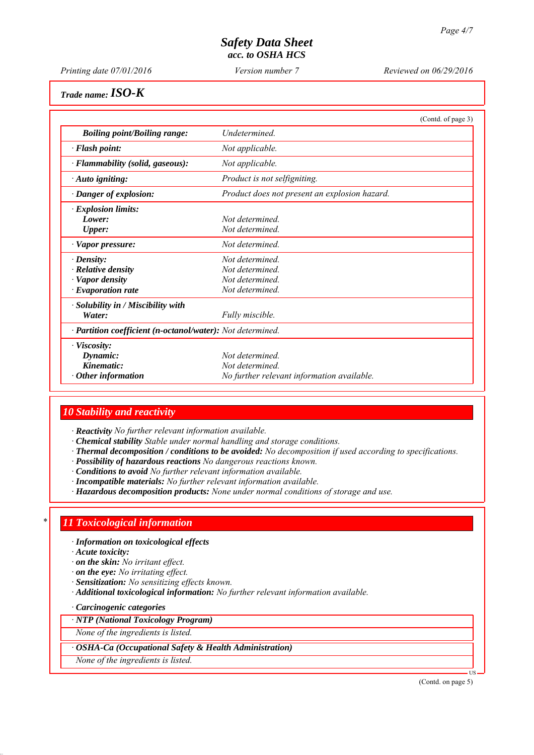*Printing date 07/01/2016 Reviewed on 06/29/2016 Version number 7*

*Trade name:ISO-K*

|                                                            | (Contd. of page 3)                            |
|------------------------------------------------------------|-----------------------------------------------|
| <b>Boiling point/Boiling range:</b>                        | Undetermined.                                 |
| · Flash point:                                             | Not applicable.                               |
| $\cdot$ Flammability (solid, gaseous):                     | Not applicable.                               |
| $\cdot$ Auto igniting:                                     | Product is not selfigniting.                  |
| $\cdot$ Danger of explosion:                               | Product does not present an explosion hazard. |
| $\cdot$ Explosion limits:                                  |                                               |
| Lower:                                                     | Not determined                                |
| <b>Upper:</b>                                              | Not determined                                |
| $\cdot$ Vapor pressure:                                    | Not determined                                |
| $\cdot$ Density:                                           | Not determined.                               |
| $\cdot$ Relative density                                   | Not determined.                               |
| · Vapor density                                            | Not determined.                               |
| $\cdot$ Evaporation rate                                   | Not determined.                               |
| $\cdot$ Solubility in / Miscibility with                   |                                               |
| Water:                                                     | Fully miscible.                               |
| · Partition coefficient (n-octanol/water): Not determined. |                                               |
| · Viscosity:                                               |                                               |
| Dynamic:                                                   | Not determined                                |
| Kinematic:                                                 | Not determined.                               |
| $\cdot$ Other information                                  | No further relevant information available.    |

#### *10 Stability and reactivity*

*∙ Reactivity No further relevant information available.*

*∙ Chemical stability Stable under normal handling and storage conditions.*

*∙ Thermal decomposition / conditions to be avoided: No decomposition if used according to specifications.*

*∙ Possibility of hazardous reactions No dangerous reactions known.*

*∙ Conditions to avoid No further relevant information available.*

*∙ Incompatible materials: No further relevant information available.*

*∙ Hazardous decomposition products: None under normal conditions of storage and use.*

#### *\* 11 Toxicological information*

*∙ Information on toxicological effects*

*∙ Acute toxicity:*

*∙ on the skin: No irritant effect.*

*∙ on the eye: No irritating effect.*

*∙ Sensitization: No sensitizing effects known.*

*∙ Additional toxicological information: No further relevant information available.*

*∙ Carcinogenic categories*

*∙ NTP (National Toxicology Program)*

*None of the ingredients is listed.*

*∙ OSHA-Ca (Occupational Safety & Health Administration)*

*None of the ingredients is listed.*

(Contd. on page 5)

US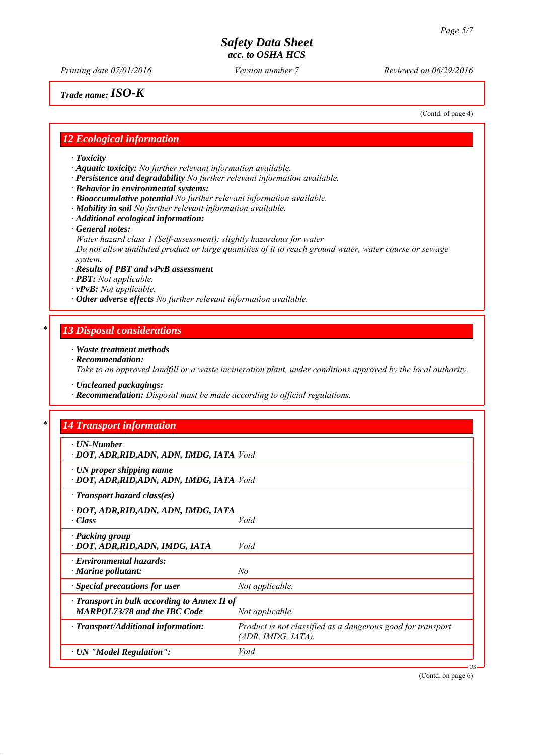*Printing date 07/01/2016 Reviewed on 06/29/2016 Version number 7*

*Trade name:ISO-K*

(Contd. of page 4)

#### *12 Ecological information*

*∙ Toxicity*

*∙ Aquatic toxicity: No further relevant information available.*

- *∙ Persistence and degradability No further relevant information available.*
- *∙ Behavior in environmental systems:*
- *∙ Bioaccumulative potential No further relevant information available.*
- *∙ Mobility in soil No further relevant information available.*
- *∙ Additional ecological information:*
- *∙ General notes:*

*Water hazard class 1 (Self-assessment): slightly hazardous for water*

*Do not allow undiluted product or large quantities of it to reach ground water, water course or sewage system.*

- *∙ Results of PBT and vPvB assessment*
- *∙ PBT: Not applicable.*
- *∙ vPvB: Not applicable.*
- *∙ Other adverse effects No further relevant information available.*

#### *\* 13 Disposal considerations*

- *∙ Waste treatment methods*
- *∙ Recommendation:*

*Take to an approved landfill or a waste incineration plant, under conditions approved by the local authority.*

*∙ Uncleaned packagings:*

*∙ Recommendation: Disposal must be made according to official regulations.*

#### *\* 14 Transport information*

| $\cdot$ UN-Number<br>· DOT, ADR, RID, ADN, ADN, IMDG, IATA Void                           |                                                                                      |
|-------------------------------------------------------------------------------------------|--------------------------------------------------------------------------------------|
| $\cdot$ UN proper shipping name<br>· DOT, ADR, RID, ADN, ADN, IMDG, IATA Void             |                                                                                      |
| $\cdot$ Transport hazard class(es)                                                        |                                                                                      |
| · DOT, ADR, RID, ADN, ADN, IMDG, IATA                                                     |                                                                                      |
| $\cdot$ Class                                                                             | Void                                                                                 |
| · Packing group<br>· DOT, ADR, RID, ADN, IMDG, IATA                                       | Void                                                                                 |
| $\cdot$ Environmental hazards:<br>$\cdot$ Marine pollutant:                               | No                                                                                   |
| $\cdot$ Special precautions for user                                                      | Not applicable.                                                                      |
| $\cdot$ Transport in bulk according to Annex II of<br><b>MARPOL73/78 and the IBC Code</b> | Not applicable.                                                                      |
| $\cdot$ Transport/Additional information:                                                 | Product is not classified as a dangerous good for transport<br>$(ADR, IMDG, IATA)$ . |
| · UN "Model Regulation":                                                                  | Void                                                                                 |

(Contd. on page 6)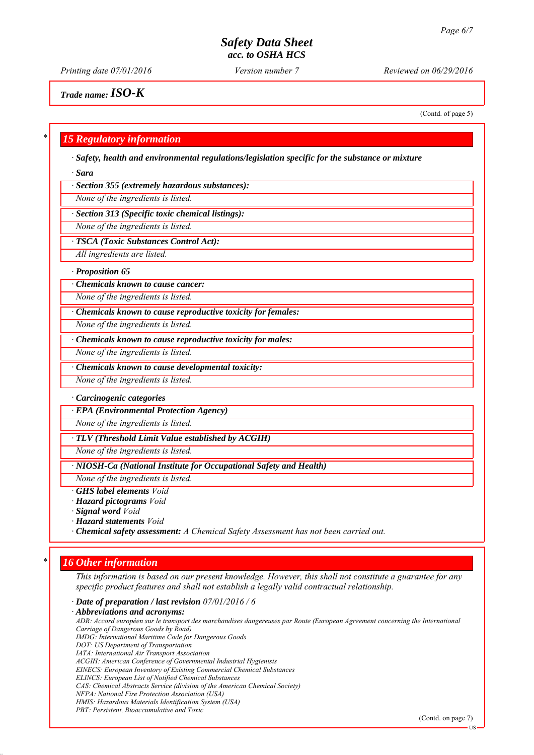*Printing date 07/01/2016 Reviewed on 06/29/2016 Version number 7*

*Trade name:ISO-K*

(Contd. of page 5)

#### *\* 15 Regulatory information*

*∙ Safety, health and environmental regulations/legislation specific for the substance or mixture*

*∙ Sara*

*∙ Section 355 (extremely hazardous substances):*

*None of the ingredients is listed.*

*∙ Section 313 (Specific toxic chemical listings):*

*None of the ingredients is listed.*

*∙ TSCA (Toxic Substances Control Act):*

*All ingredients are listed.*

*∙ Proposition 65*

*∙ Chemicals known to cause cancer:*

*None of the ingredients is listed.*

*∙ Chemicals known to cause reproductive toxicity for females:*

*None of the ingredients is listed.*

*∙ Chemicals known to cause reproductive toxicity for males:*

*None of the ingredients is listed.*

*∙ Chemicals known to cause developmental toxicity:*

*None of the ingredients is listed.*

#### *∙ Carcinogenic categories*

*∙ EPA (Environmental Protection Agency)*

*None of the ingredients is listed.*

*∙ TLV (Threshold Limit Value established by ACGIH)*

*None of the ingredients is listed.*

*∙ NIOSH-Ca (National Institute for Occupational Safety and Health)*

*None of the ingredients is listed.*

*∙ GHS label elements Void*

*∙ Hazard pictograms Void*

- *∙ Signal word Void*
- *∙ Hazard statements Void*
- *∙ Chemical safety assessment: A Chemical Safety Assessment has not been carried out.*

#### *\* 16 Other information*

*This information is based on our present knowledge. However, this shall not constitute a guarantee for any specific product features and shall not establish a legally valid contractual relationship.*

*∙ Date of preparation / last revision 07/01/2016 / 6*

*∙ Abbreviations and acronyms: ADR: Accord européen sur le transport des marchandises dangereuses par Route (European Agreement concerning the International Carriage of Dangerous Goods by Road) IMDG: International Maritime Code for Dangerous Goods DOT: US Department of Transportation IATA: International Air Transport Association ACGIH: American Conference of Governmental Industrial Hygienists EINECS: European Inventory of Existing Commercial Chemical Substances ELINCS: European List of Notified Chemical Substances CAS: Chemical Abstracts Service (division of the American Chemical Society)*

*NFPA: National Fire Protection Association (USA)*

*HMIS: Hazardous Materials Identification System (USA)*

*PBT: Persistent, Bioaccumulative and Toxic*

US